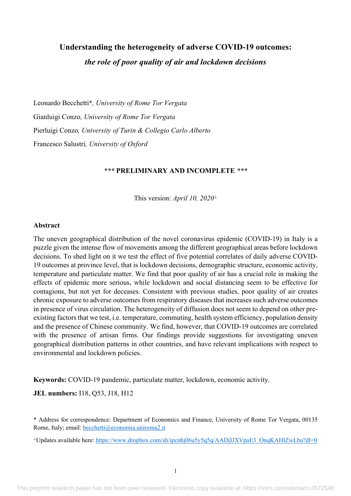# **Understanding the heterogeneity of adverse COVID-19 outcomes:**  *the role of poor quality of air and lockdown decisions*

Leonardo Becchetti\**, University of Rome Tor Vergata* Gianluigi Conzo*, University of Rome Tor Vergata* Pierluigi Conzo*, University of Turin & Collegio Carlo Alberto* Francesco Salustri*, University of Oxford*

# *\*\*\** **PRELIMINARY AND INCOMPLETE** *\*\*\**

This version: *April 10, 2020*^

#### **Abstract**

The uneven geographical distribution of the novel coronavirus epidemic (COVID-19) in Italy is a puzzle given the intense flow of movements among the different geographical areas before lockdown decisions. To shed light on it we test the effect of five potential correlates of daily adverse COVID-19 outcomes at province level, that is lockdown decisions, demographic structure, economic activity, temperature and particulate matter. We find that poor quality of air has a crucial role in making the effects of epidemic more serious, while lockdown and social distancing seem to be effective for contagions, but not yet for deceases. Consistent with previous studies, poor quality of air creates chronic exposure to adverse outcomes from respiratory diseases that increases such adverse outcomes in presence of virus circulation. The heterogeneity of diffusion does not seem to depend on other preexisting factors that we test, i.e. temperature, commuting, health system efficiency, population density and the presence of Chinese community. We find, however, that COVID-19 outcomes are correlated with the presence of artisan firms. Our findings provide suggestions for investigating uneven geographical distribution patterns in other countries, and have relevant implications with respect to environmental and lockdown policies.

**Keywords:** COVID-19 pandemic, particulate matter, lockdown, economic activity.

**JEL numbers:** I18, Q53, J18, H12

\* Address for correspondence: Department of Economics and Finance, University of Rome Tor Vergata, 00135 Rome, Italy; email: becchetti@economia.uniroma2.it

<sup>1</sup>Updates available here: https://www.dropbox.com/sh/ipcnhj06u5y5q5q/AADjIJXVpaE3\_OnqKAHlZwLba?dl=0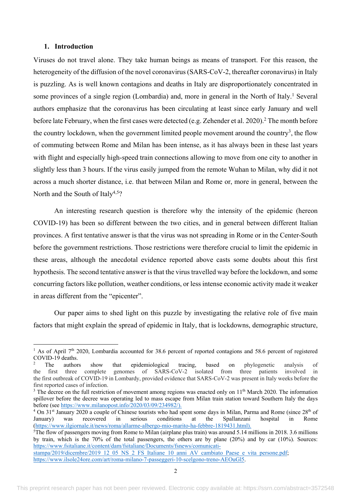## **1. Introduction**

Viruses do not travel alone. They take human beings as means of transport. For this reason, the heterogeneity of the diffusion of the novel coronavirus (SARS-CoV-2, thereafter coronavirus) in Italy is puzzling. As is well known contagions and deaths in Italy are disproportionately concentrated in some provinces of a single region (Lombardia) and, more in general in the North of Italy.<sup>1</sup> Several authors emphasize that the coronavirus has been circulating at least since early January and well before late February, when the first cases were detected (e.g. Zehender et al. 2020).<sup>2</sup> The month before the country lockdown, when the government limited people movement around the country<sup>3</sup>, the flow of commuting between Rome and Milan has been intense, as it has always been in these last years with flight and especially high-speed train connections allowing to move from one city to another in slightly less than 3 hours. If the virus easily jumped from the remote Wuhan to Milan, why did it not across a much shorter distance, i.e. that between Milan and Rome or, more in general, between the North and the South of Italy<sup>4,5</sup>?

An interesting research question is therefore why the intensity of the epidemic (hereon COVID-19) has been so different between the two cities, and in general between different Italian provinces. A first tentative answer is that the virus was not spreading in Rome or in the Center-South before the government restrictions. Those restrictions were therefore crucial to limit the epidemic in these areas, although the anecdotal evidence reported above casts some doubts about this first hypothesis. The second tentative answer is that the virus travelled way before the lockdown, and some concurring factors like pollution, weather conditions, or less intense economic activity made it weaker in areas different from the "epicenter".

Our paper aims to shed light on this puzzle by investigating the relative role of five main factors that might explain the spread of epidemic in Italy, that is lockdowns, demographic structure,

<sup>&</sup>lt;sup>1</sup> As of April 7<sup>th</sup> 2020, Lombardia accounted for 38.6 percent of reported contagions and 58.6 percent of registered COVID-19 deaths.

<sup>2</sup> The authors show that epidemiological tracing, based on phylogenetic analysis of the first three complete genomes of SARS-CoV-2 isolated from three patients involved in the first outbreak of COVID-19 in Lombardy, provided evidence that SARS-CoV-2 was present in Italy weeks before the first reported cases of infection.

<sup>&</sup>lt;sup>3</sup> The decree on the full restriction of movement among regions was enacted only on  $11<sup>th</sup>$  March 2020. The information spillover before the decree was operating led to mass escape from Milan train station toward Southern Italy the days before (see https://www.milanopost.info/2020/03/09/234982/).

<sup>&</sup>lt;sup>4</sup> On  $31<sup>st</sup>$  January 2020 a couple of Chinese tourists who had spent some days in Milan, Parma and Rome (since  $28<sup>th</sup>$  of January) was recovered in serious conditions at the Spallanzani hospital in Rome January) was recovered in serious conditions at the Spallanzani hospital in Rome (https://www.ilgiornale.it/news/roma/allarme-albergo-mio-marito-ha-febbre-1819431.html).

<sup>5</sup> The flow of passengers moving from Rome to Milan (airplane plus train) was around 5.14 millions in 2018. 3.6 millions by train, which is the 70% of the total passengers, the others are by plane (20%) and by car (10%). Sources: https://www.fsitaliane.it/content/dam/fsitaliane/Documents/fsnews/comunicatistampa/2019/dicembre/2019\_12\_05\_NS\_2\_FS\_Italiane\_10\_anni\_AV\_cambiato\_Paese\_e\_vita\_persone.pdf; https://www.ilsole24ore.com/art/roma-milano-7-passeggeri-10-scelgono-treno-AEOuGl5.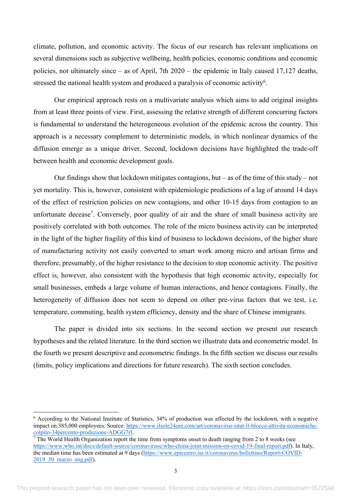climate, pollution, and economic activity. The focus of our research has relevant implications on several dimensions such as subjective wellbeing, health policies, economic conditions and economic policies, not ultimately since – as of April, 7th 2020 – the epidemic in Italy caused 17,127 deaths, stressed the national health system and produced a paralysis of economic activity<sup>6</sup>.

Our empirical approach rests on a multivariate analysis which aims to add original insights from at least three points of view. First, assessing the relative strength of different concurring factors is fundamental to understand the heterogeneous evolution of the epidemic across the country. This approach is a necessary complement to deterministic models, in which nonlinear dynamics of the diffusion emerge as a unique driver. Second, lockdown decisions have highlighted the trade-off between health and economic development goals.

Our findings show that lockdown mitigates contagions, but – as of the time of this study – not yet mortality. This is, however, consistent with epidemiologic predictions of a lag of around 14 days of the effect of restriction policies on new contagions, and other 10-15 days from contagion to an unfortunate decease<sup>7</sup>. Conversely, poor quality of air and the share of small business activity are positively correlated with both outcomes. The role of the micro business activity can be interpreted in the light of the higher fragility of this kind of business to lockdown decisions, of the higher share of manufacturing activity not easily converted to smart work among micro and artisan firms and therefore, presumably, of the higher resistance to the decision to stop economic activity. The positive effect is, however, also consistent with the hypothesis that high economic activity, especially for small businesses, embeds a large volume of human interactions, and hence contagions. Finally, the heterogeneity of diffusion does not seem to depend on other pre-virus factors that we test, i.e. temperature, commuting, health system efficiency, density and the share of Chinese immigrants.

The paper is divided into six sections. In the second section we present our research hypotheses and the related literature. In the third section we illustrate data and econometric model. In the fourth we present descriptive and econometric findings. In the fifth section we discuss our results (limits, policy implications and directions for future research). The sixth section concludes.

<sup>6</sup> According to the National Institute of Statistics, 34% of production was affected by the lockdown, with a negative impact on 385,000 employees. Source: https://www.ilsole24ore.com/art/coronavirus-istat-il-blocco-attivita-economichecolpito-34percento-produzione-ADGG7rI.

 $7$  The World Health Organization report the time from symptoms onset to death ranging from 2 to 8 weeks (see https://www.who.int/docs/default-source/coronaviruse/who-china-joint-mission-on-covid-19-final-report.pdf). In Italy, the median time has been estimated at 9 days (https://www.epicentro.iss.it/coronavirus/bollettino/Report-COVID-2019 30 marzo eng.pdf).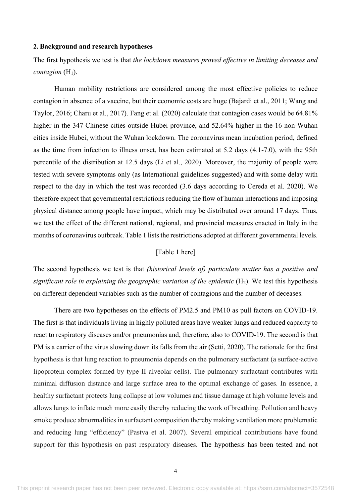#### **2. Background and research hypotheses**

The first hypothesis we test is that *the lockdown measures proved effective in limiting deceases and contagion*  $(H_1)$ .

Human mobility restrictions are considered among the most effective policies to reduce contagion in absence of a vaccine, but their economic costs are huge (Bajardi et al., 2011; Wang and Taylor, 2016; Charu et al., 2017). Fang et al. (2020) calculate that contagion cases would be 64.81% higher in the 347 Chinese cities outside Hubei province, and 52.64% higher in the 16 non-Wuhan cities inside Hubei, without the Wuhan lockdown. The coronavirus mean incubation period, defined as the time from infection to illness onset, has been estimated at 5.2 days (4.1-7.0), with the 95th percentile of the distribution at 12.5 days (Li et al., 2020). Moreover, the majority of people were tested with severe symptoms only (as International guidelines suggested) and with some delay with respect to the day in which the test was recorded (3.6 days according to Cereda et al. 2020). We therefore expect that governmental restrictions reducing the flow of human interactions and imposing physical distance among people have impact, which may be distributed over around 17 days. Thus, we test the effect of the different national, regional, and provincial measures enacted in Italy in the months of coronavirus outbreak. Table 1 lists the restrictions adopted at different governmental levels.

# [Table 1 here]

The second hypothesis we test is that *(historical levels of) particulate matter has a positive and significant role in explaining the geographic variation of the epidemic*  $(H_2)$ . We test this hypothesis on different dependent variables such as the number of contagions and the number of deceases.

There are two hypotheses on the effects of PM2.5 and PM10 as pull factors on COVID-19. The first is that individuals living in highly polluted areas have weaker lungs and reduced capacity to react to respiratory diseases and/or pneumonias and, therefore, also to COVID-19. The second is that PM is a carrier of the virus slowing down its falls from the air (Setti, 2020). The rationale for the first hypothesis is that lung reaction to pneumonia depends on the pulmonary surfactant (a surface-active lipoprotein complex formed by type II alveolar cells). The pulmonary surfactant contributes with minimal diffusion distance and large surface area to the optimal exchange of gases. In essence, a healthy surfactant protects lung collapse at low volumes and tissue damage at high volume levels and allows lungs to inflate much more easily thereby reducing the work of breathing. Pollution and heavy smoke produce abnormalities in surfactant composition thereby making ventilation more problematic and reducing lung "efficiency" (Pastva et al. 2007). Several empirical contributions have found support for this hypothesis on past respiratory diseases. The hypothesis has been tested and not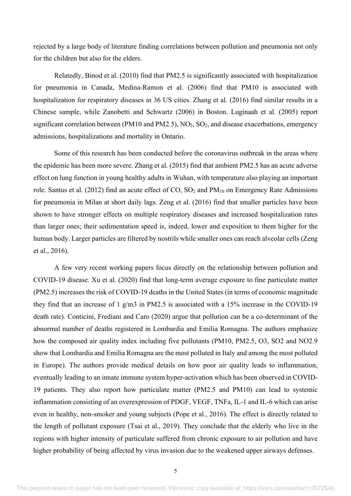rejected by a large body of literature finding correlations between pollution and pneumonia not only for the children but also for the elders.

Relatedly, Binod et al. (2010) find that PM2.5 is significantly associated with hospitalization for pneumonia in Canada, Medina-Ramon et al. (2006) find that PM10 is associated with hospitalization for respiratory diseases in 36 US cities. Zhang et al. (2016) find similar results in a Chinese sample, while Zanobetti and Schwartz (2006) in Boston. Luginaah et al. (2005) report significant correlation between (PM10 and PM2.5),  $NO<sub>2</sub>$ ,  $SO<sub>2</sub>$ , and disease exacerbations, emergency admissions, hospitalizations and mortality in Ontario.

Some of this research has been conducted before the coronavirus outbreak in the areas where the epidemic has been more severe. Zhang et al. (2015) find that ambient PM2.5 has an acute adverse effect on lung function in young healthy adults in Wuhan, with temperature also playing an important role. Santus et al. (2012) find an acute effect of CO, SO<sub>2</sub> and PM<sub>10</sub> on Emergency Rate Admissions for pneumonia in Milan at short daily lags. Zeng et al. (2016) find that smaller particles have been shown to have stronger effects on multiple respiratory diseases and increased hospitalization rates than larger ones; their sedimentation speed is, indeed, lower and exposition to them higher for the human body. Larger particles are filtered by nostrils while smaller ones can reach alveolar cells (Zeng et al., 2016).

A few very recent working papers focus directly on the relationship between pollution and COVID-19 disease. Xu et al. (2020) find that long-term average exposure to fine particulate matter (PM2.5) increases the risk of COVID-19 deaths in the United States (in terms of economic magnitude they find that an increase of 1 g/m3 in PM2.5 is associated with a 15% increase in the COVID-19 death rate). Conticini, Frediani and Caro (2020) argue that pollution can be a co-determinant of the abnormal number of deaths registered in Lombardia and Emilia Romagna. The authors emphasize how the composed air quality index including five pollutants (PM10, PM2.5, O3, SO2 and NO2.9 show that Lombardia and Emilia Romagna are the most polluted in Italy and among the most polluted in Europe). The authors provide medical details on how poor air quality leads to inflammation, eventually leading to an innate immune system hyper-activation which has been observed in COVID-19 patients. They also report how particulate matter (PM2.5 and PM10) can lead to systemic inflammation consisting of an overexpression of PDGF, VEGF, TNFa, IL-1 and IL-6 which can arise even in healthy, non-smoker and young subjects (Pope et al., 2016). The effect is directly related to the length of pollutant exposure (Tsai et al., 2019). They conclude that the elderly who live in the regions with higher intensity of particulate suffered from chronic exposure to air pollution and have higher probability of being affected by virus invasion due to the weakened upper airways defenses.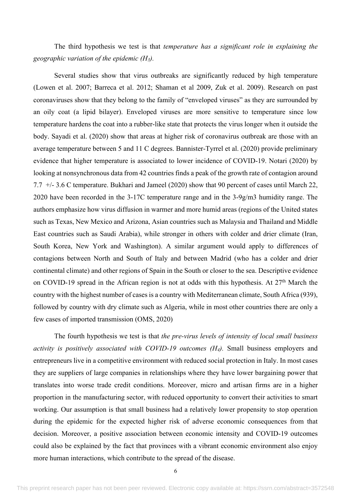The third hypothesis we test is that *temperature has a significant role in explaining the geographic variation of the epidemic (H3).*

Several studies show that virus outbreaks are significantly reduced by high temperature (Lowen et al. 2007; Barreca et al. 2012; Shaman et al 2009, Zuk et al. 2009). Research on past coronaviruses show that they belong to the family of "enveloped viruses" as they are surrounded by an oily coat (a lipid bilayer). Enveloped viruses are more sensitive to temperature since low temperature hardens the coat into a rubber-like state that protects the virus longer when it outside the body. Sayadi et al. (2020) show that areas at higher risk of coronavirus outbreak are those with an average temperature between 5 and 11 C degrees. Bannister-Tyrrel et al. (2020) provide preliminary evidence that higher temperature is associated to lower incidence of COVID-19. Notari (2020) by looking at nonsynchronous data from 42 countries finds a peak of the growth rate of contagion around 7.7 +/- 3.6 C temperature. Bukhari and Jameel (2020) show that 90 percent of cases until March 22, 2020 have been recorded in the 3-17C temperature range and in the 3-9g/m3 humidity range. The authors emphasize how virus diffusion in warmer and more humid areas (regions of the United states such as Texas, New Mexico and Arizona, Asian countries such as Malaysia and Thailand and Middle East countries such as Saudi Arabia), while stronger in others with colder and drier climate (Iran, South Korea, New York and Washington). A similar argument would apply to differences of contagions between North and South of Italy and between Madrid (who has a colder and drier continental climate) and other regions of Spain in the South or closer to the sea. Descriptive evidence on COVID-19 spread in the African region is not at odds with this hypothesis. At 27<sup>th</sup> March the country with the highest number of cases is a country with Mediterranean climate, South Africa (939), followed by country with dry climate such as Algeria, while in most other countries there are only a few cases of imported transmission (OMS, 2020)

The fourth hypothesis we test is that *the pre-virus levels of intensity of local small business activity is positively associated with COVID-19 outcomes (H4).* Small business employers and entrepreneurs live in a competitive environment with reduced social protection in Italy. In most cases they are suppliers of large companies in relationships where they have lower bargaining power that translates into worse trade credit conditions. Moreover, micro and artisan firms are in a higher proportion in the manufacturing sector, with reduced opportunity to convert their activities to smart working. Our assumption is that small business had a relatively lower propensity to stop operation during the epidemic for the expected higher risk of adverse economic consequences from that decision. Moreover, a positive association between economic intensity and COVID-19 outcomes could also be explained by the fact that provinces with a vibrant economic environment also enjoy more human interactions, which contribute to the spread of the disease.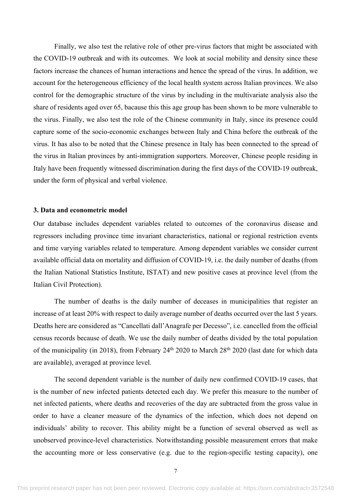Finally, we also test the relative role of other pre-virus factors that might be associated with the COVID-19 outbreak and with its outcomes. We look at social mobility and density since these factors increase the chances of human interactions and hence the spread of the virus. In addition, we account for the heterogeneous efficiency of the local health system across Italian provinces. We also control for the demographic structure of the virus by including in the multivariate analysis also the share of residents aged over 65, bacause this this age group has been shown to be more vulnerable to the virus. Finally, we also test the role of the Chinese community in Italy, since its presence could capture some of the socio-economic exchanges between Italy and China before the outbreak of the virus. It has also to be noted that the Chinese presence in Italy has been connected to the spread of the virus in Italian provinces by anti-immigration supporters. Moreover, Chinese people residing in Italy have been frequently witnessed discrimination during the first days of the COVID-19 outbreak, under the form of physical and verbal violence.

## **3. Data and econometric model**

Our database includes dependent variables related to outcomes of the coronavirus disease and regressors including province time invariant characteristics, national or regional restriction events and time varying variables related to temperature. Among dependent variables we consider current available official data on mortality and diffusion of COVID-19, i.e. the daily number of deaths (from the Italian National Statistics Institute, ISTAT) and new positive cases at province level (from the Italian Civil Protection).

The number of deaths is the daily number of deceases in municipalities that register an increase of at least 20% with respect to daily average number of deaths occurred over the last 5 years. Deaths here are considered as "Cancellati dall'Anagrafe per Decesso", i.e. cancelled from the official census records because of death. We use the daily number of deaths divided by the total population of the municipality (in 2018), from February  $24<sup>th</sup> 2020$  to March  $28<sup>th</sup> 2020$  (last date for which data are available), averaged at province level.

The second dependent variable is the number of daily new confirmed COVID-19 cases, that is the number of new infected patients detected each day. We prefer this measure to the number of net infected patients, where deaths and recoveries of the day are subtracted from the gross value in order to have a cleaner measure of the dynamics of the infection, which does not depend on individuals' ability to recover. This ability might be a function of several observed as well as unobserved province-level characteristics. Notwithstanding possible measurement errors that make the accounting more or less conservative (e.g. due to the region-specific testing capacity), one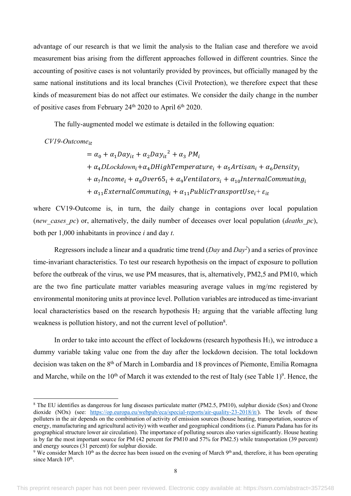advantage of our research is that we limit the analysis to the Italian case and therefore we avoid measurement bias arising from the different approaches followed in different countries. Since the accounting of positive cases is not voluntarily provided by provinces, but officially managed by the same national institutions and its local branches (Civil Protection), we therefore expect that these kinds of measurement bias do not affect our estimates. We consider the daily change in the number of positive cases from February 24<sup>th</sup> 2020 to April 6<sup>th</sup> 2020.

The fully-augmented model we estimate is detailed in the following equation:

*CV19-Outcome*<sup>\*\*</sup>

 $= \alpha_0 + \alpha_1 D a y_{it} + \alpha_2 D a y_{it}^2 + \alpha_3 P M_i$ +  $\alpha_4$ DLockdown<sub>i</sub> +  $\alpha_4$ DHighTemperature<sub>i</sub> +  $\alpha_5$ Artisan<sub>i</sub> +  $\alpha_6$ Density<sub>i</sub> +  $\alpha_7$ Income<sub>i</sub> +  $\alpha_8$ Over65<sub>i</sub> +  $\alpha_9$ Ventilators<sub>i</sub> +  $\alpha_{10}$ InternalCommuting<sub>i</sub> +  $\alpha_{11}$ ExternalCommuting<sub>i</sub> +  $\alpha_{11}$ PublicTransportUse<sub>i</sub> +  $\varepsilon_{it}$ 

where CV19-Outcome is, in turn, the daily change in contagions over local population (*new\_cases\_pc*) or, alternatively, the daily number of deceases over local population (*deaths\_pc*), both per 1,000 inhabitants in province *i* and day *t*.

Regressors include a linear and a quadratic time trend (*Day* and *Day2* ) and a series of province time-invariant characteristics. To test our research hypothesis on the impact of exposure to pollution before the outbreak of the virus, we use PM measures, that is, alternatively, PM2,5 and PM10, which are the two fine particulate matter variables measuring average values in mg/mc registered by environmental monitoring units at province level. Pollution variables are introduced as time-invariant local characteristics based on the research hypothesis  $H_2$  arguing that the variable affecting lung weakness is pollution history, and not the current level of pollution<sup>8</sup>.

In order to take into account the effect of lockdowns (research hypothesis  $H_1$ ), we introduce a dummy variable taking value one from the day after the lockdown decision. The total lockdown decision was taken on the 8<sup>th</sup> of March in Lombardia and 18 provinces of Piemonte, Emilia Romagna and Marche, while on the  $10<sup>th</sup>$  of March it was extended to the rest of Italy (see Table 1)<sup>9</sup>. Hence, the

<sup>8</sup> The EU identifies as dangerous for lung diseases particulate matter (PM2.5, PM10), sulphur dioxide (Sox) and Ozone dioxide (NOx) (see: https://op.europa.eu/webpub/eca/special-reports/air-quality-23-2018/it/). The levels of these polluters in the air depends on the combination of activity of emission sources (house heating, transportation, sources of energy, manufacturing and agricultural activity) with weather and geographical conditions (i.e. Pianura Padana has for its geographical structure lower air circulation). The importance of polluting sources also varies significantly. House heating is by far the most important source for PM (42 percent for PM10 and 57% for PM2.5) while transportation (39 percent) and energy sources (31 percent) for sulphur dioxide.

<sup>&</sup>lt;sup>9</sup> We consider March 10<sup>th</sup> as the decree has been issued on the evening of March 9<sup>th</sup> and, therefore, it has been operating since March 10<sup>th</sup>.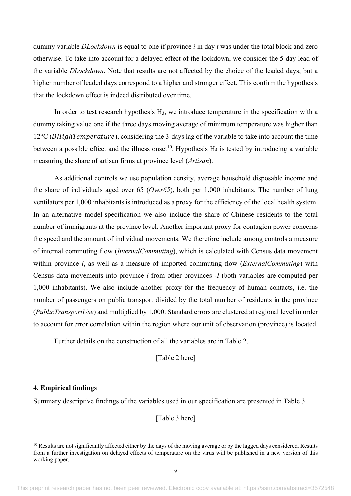dummy variable *DLockdown* is equal to one if province *i* in day *t* was under the total block and zero otherwise. To take into account for a delayed effect of the lockdown, we consider the 5-day lead of the variable *DLockdown*. Note that results are not affected by the choice of the leaded days, but a higher number of leaded days correspond to a higher and stronger effect. This confirm the hypothesis that the lockdown effect is indeed distributed over time.

In order to test research hypothesis H<sub>3</sub>, we introduce temperature in the specification with a dummy taking value one if the three days moving average of minimum temperature was higher than  $12^{\circ}$ C (*DHighTemperature*), considering the 3-days lag of the variable to take into account the time between a possible effect and the illness onset<sup>10</sup>. Hypothesis  $H_4$  is tested by introducing a variable measuring the share of artisan firms at province level (*Artisan*).

As additional controls we use population density, average household disposable income and the share of individuals aged over 65 (*Over65*), both per 1,000 inhabitants. The number of lung ventilators per 1,000 inhabitants is introduced as a proxy for the efficiency of the local health system. In an alternative model-specification we also include the share of Chinese residents to the total number of immigrants at the province level. Another important proxy for contagion power concerns the speed and the amount of individual movements. We therefore include among controls a measure of internal commuting flow (*InternalCommuting*), which is calculated with Census data movement within province *i*, as well as a measure of imported commuting flow (*ExternalCommuting*) with Census data movements into province *i* from other provinces *-I* (both variables are computed per 1,000 inhabitants). We also include another proxy for the frequency of human contacts, i.e. the number of passengers on public transport divided by the total number of residents in the province (*PublicTransportUse*) and multiplied by 1,000. Standard errors are clustered at regional level in order to account for error correlation within the region where our unit of observation (province) is located.

Further details on the construction of all the variables are in Table 2.

[Table 2 here]

# **4. Empirical findings**

Summary descriptive findings of the variables used in our specification are presented in Table 3.

[Table 3 here]

 $10$  Results are not significantly affected either by the days of the moving average or by the lagged days considered. Results from a further investigation on delayed effects of temperature on the virus will be published in a new version of this working paper.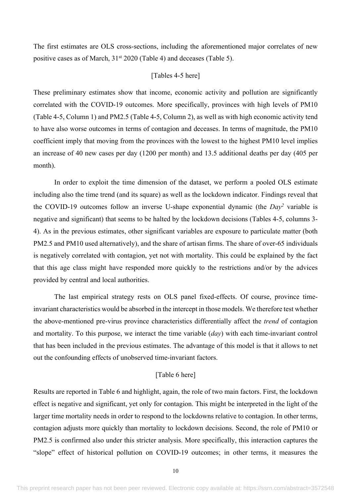The first estimates are OLS cross-sections, including the aforementioned major correlates of new positive cases as of March,  $31<sup>st</sup> 2020$  (Table 4) and deceases (Table 5).

# [Tables 4-5 here]

These preliminary estimates show that income, economic activity and pollution are significantly correlated with the COVID-19 outcomes. More specifically, provinces with high levels of PM10 (Table 4-5, Column 1) and PM2.5 (Table 4-5, Column 2), as well as with high economic activity tend to have also worse outcomes in terms of contagion and deceases. In terms of magnitude, the PM10 coefficient imply that moving from the provinces with the lowest to the highest PM10 level implies an increase of 40 new cases per day (1200 per month) and 13.5 additional deaths per day (405 per month).

In order to exploit the time dimension of the dataset, we perform a pooled OLS estimate including also the time trend (and its square) as well as the lockdown indicator. Findings reveal that the COVID-19 outcomes follow an inverse U-shape exponential dynamic (the *Day2* variable is negative and significant) that seems to be halted by the lockdown decisions (Tables 4-5, columns 3- 4). As in the previous estimates, other significant variables are exposure to particulate matter (both PM2.5 and PM10 used alternatively), and the share of artisan firms. The share of over-65 individuals is negatively correlated with contagion, yet not with mortality. This could be explained by the fact that this age class might have responded more quickly to the restrictions and/or by the advices provided by central and local authorities.

The last empirical strategy rests on OLS panel fixed-effects. Of course, province timeinvariant characteristics would be absorbed in the intercept in those models. We therefore test whether the above-mentioned pre-virus province characteristics differentially affect the *trend* of contagion and mortality. To this purpose, we interact the time variable (*day*) with each time-invariant control that has been included in the previous estimates. The advantage of this model is that it allows to net out the confounding effects of unobserved time-invariant factors.

# [Table 6 here]

Results are reported in Table 6 and highlight, again, the role of two main factors. First, the lockdown effect is negative and significant, yet only for contagion. This might be interpreted in the light of the larger time mortality needs in order to respond to the lockdowns relative to contagion. In other terms, contagion adjusts more quickly than mortality to lockdown decisions. Second, the role of PM10 or PM2.5 is confirmed also under this stricter analysis. More specifically, this interaction captures the "slope" effect of historical pollution on COVID-19 outcomes; in other terms, it measures the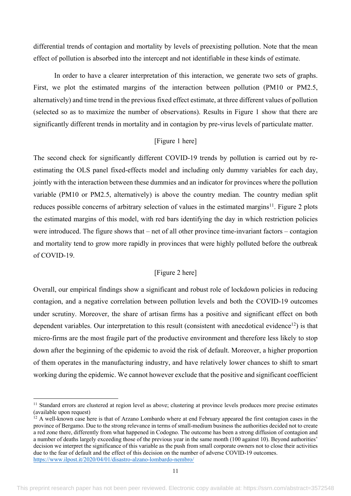differential trends of contagion and mortality by levels of preexisting pollution. Note that the mean effect of pollution is absorbed into the intercept and not identifiable in these kinds of estimate.

In order to have a clearer interpretation of this interaction, we generate two sets of graphs. First, we plot the estimated margins of the interaction between pollution (PM10 or PM2.5, alternatively) and time trend in the previous fixed effect estimate, at three different values of pollution (selected so as to maximize the number of observations). Results in Figure 1 show that there are significantly different trends in mortality and in contagion by pre-virus levels of particulate matter.

# [Figure 1 here]

The second check for significantly different COVID-19 trends by pollution is carried out by reestimating the OLS panel fixed-effects model and including only dummy variables for each day, jointly with the interaction between these dummies and an indicator for provinces where the pollution variable (PM10 or PM2.5, alternatively) is above the country median. The country median split reduces possible concerns of arbitrary selection of values in the estimated margins<sup>11</sup>. Figure 2 plots the estimated margins of this model, with red bars identifying the day in which restriction policies were introduced. The figure shows that – net of all other province time-invariant factors – contagion and mortality tend to grow more rapidly in provinces that were highly polluted before the outbreak of COVID-19.

# [Figure 2 here]

Overall, our empirical findings show a significant and robust role of lockdown policies in reducing contagion, and a negative correlation between pollution levels and both the COVID-19 outcomes under scrutiny. Moreover, the share of artisan firms has a positive and significant effect on both dependent variables. Our interpretation to this result (consistent with anecdotical evidence<sup>12</sup>) is that micro-firms are the most fragile part of the productive environment and therefore less likely to stop down after the beginning of the epidemic to avoid the risk of default. Moreover, a higher proportion of them operates in the manufacturing industry, and have relatively lower chances to shift to smart working during the epidemic. We cannot however exclude that the positive and significant coefficient

<sup>&</sup>lt;sup>11</sup> Standard errors are clustered at region level as above; clustering at province levels produces more precise estimates (available upon request)

 $12$  A well-known case here is that of Arzano Lombardo where at end February appeared the first contagion cases in the province of Bergamo. Due to the strong relevance in terms of small-medium business the authorities decided not to create a red zone there, differently from what happened in Codogno. The outcome has been a strong diffusion of contagion and a number of deaths largely exceeding those of the previous year in the same month (100 against 10). Beyond authorities' decision we interpret the significance of this variable as the push from small corporate owners not to close their activities due to the fear of default and the effect of this decision on the number of adverse COVID-19 outcomes. https://www.ilpost.it/2020/04/01/disastro-alzano-lombardo-nembro/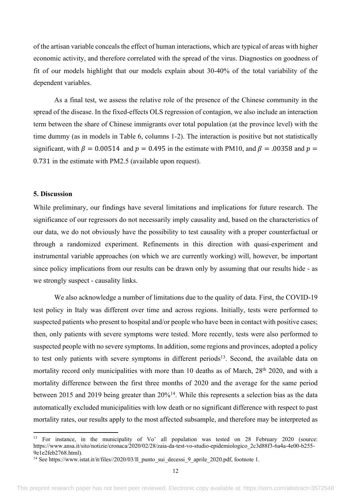of the artisan variable conceals the effect of human interactions, which are typical of areas with higher economic activity, and therefore correlated with the spread of the virus. Diagnostics on goodness of fit of our models highlight that our models explain about 30-40% of the total variability of the dependent variables.

As a final test, we assess the relative role of the presence of the Chinese community in the spread of the disease. In the fixed-effects OLS regression of contagion, we also include an interaction term between the share of Chinese immigrants over total population (at the province level) with the time dummy (as in models in Table 6, columns 1-2). The interaction is positive but not statistically significant, with  $\beta = 0.00514$  and  $p = 0.495$  in the estimate with PM10, and  $\beta = .00358$  and  $p =$ 0.731 in the estimate with PM2.5 (available upon request).

# **5. Discussion**

While preliminary, our findings have several limitations and implications for future research. The significance of our regressors do not necessarily imply causality and, based on the characteristics of our data, we do not obviously have the possibility to test causality with a proper counterfactual or through a randomized experiment. Refinements in this direction with quasi-experiment and instrumental variable approaches (on which we are currently working) will, however, be important since policy implications from our results can be drawn only by assuming that our results hide - as we strongly suspect - causality links.

We also acknowledge a number of limitations due to the quality of data. First, the COVID-19 test policy in Italy was different over time and across regions. Initially, tests were performed to suspected patients who present to hospital and/or people who have been in contact with positive cases; then, only patients with severe symptoms were tested. More recently, tests were also performed to suspected people with no severe symptoms. In addition, some regions and provinces, adopted a policy to test only patients with severe symptoms in different periods<sup>13</sup>. Second, the available data on mortality record only municipalities with more than 10 deaths as of March, 28<sup>th</sup> 2020, and with a mortality difference between the first three months of 2020 and the average for the same period between 2015 and 2019 being greater than 20%<sup>14</sup>. While this represents a selection bias as the data automatically excluded municipalities with low death or no significant difference with respect to past mortality rates, our results apply to the most affected subsample, and therefore may be interpreted as

<sup>&</sup>lt;sup>13</sup> For instance, in the municipality of Vo' all population was tested on 28 February 2020 (source: https://www.ansa.it/sito/notizie/cronaca/2020/02/28/zaia-da-test-vo-studio-epidemiologico\_2c3d88f3-6a4a-4e00-b255- 9e1e2feb2768.html).

<sup>&</sup>lt;sup>14</sup> See https://www.istat.it/it/files//2020/03/Il punto sui decessi 9 aprile 2020.pdf, footnote 1.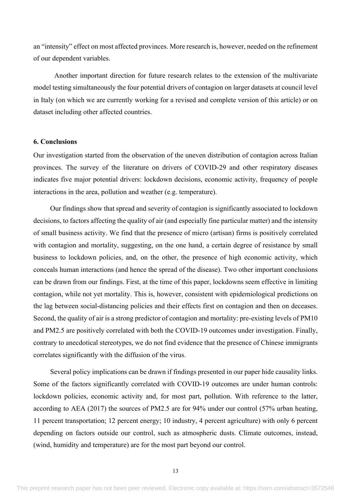an "intensity" effect on most affected provinces. More research is, however, needed on the refinement of our dependent variables.

Another important direction for future research relates to the extension of the multivariate model testing simultaneously the four potential drivers of contagion on larger datasets at council level in Italy (on which we are currently working for a revised and complete version of this article) or on dataset including other affected countries.

# **6. Conclusions**

Our investigation started from the observation of the uneven distribution of contagion across Italian provinces. The survey of the literature on drivers of COVID-29 and other respiratory diseases indicates five major potential drivers: lockdown decisions, economic activity, frequency of people interactions in the area, pollution and weather (e.g. temperature).

Our findings show that spread and severity of contagion is significantly associated to lockdown decisions, to factors affecting the quality of air (and especially fine particular matter) and the intensity of small business activity. We find that the presence of micro (artisan) firms is positively correlated with contagion and mortality, suggesting, on the one hand, a certain degree of resistance by small business to lockdown policies, and, on the other, the presence of high economic activity, which conceals human interactions (and hence the spread of the disease). Two other important conclusions can be drawn from our findings. First, at the time of this paper, lockdowns seem effective in limiting contagion, while not yet mortality. This is, however, consistent with epidemiological predictions on the lag between social-distancing policies and their effects first on contagion and then on deceases. Second, the quality of air is a strong predictor of contagion and mortality: pre-existing levels of PM10 and PM2.5 are positively correlated with both the COVID-19 outcomes under investigation. Finally, contrary to anecdotical stereotypes, we do not find evidence that the presence of Chinese immigrants correlates significantly with the diffusion of the virus.

Several policy implications can be drawn if findings presented in our paper hide causality links. Some of the factors significantly correlated with COVID-19 outcomes are under human controls: lockdown policies, economic activity and, for most part, pollution. With reference to the latter, according to AEA (2017) the sources of PM2.5 are for 94% under our control (57% urban heating, 11 percent transportation; 12 percent energy; 10 industry, 4 percent agriculture) with only 6 percent depending on factors outside our control, such as atmospheric dusts. Climate outcomes, instead, (wind, humidity and temperature) are for the most part beyond our control.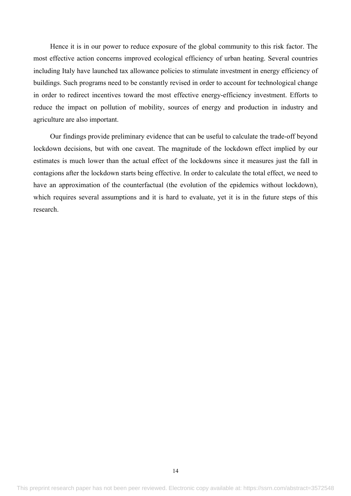Hence it is in our power to reduce exposure of the global community to this risk factor. The most effective action concerns improved ecological efficiency of urban heating. Several countries including Italy have launched tax allowance policies to stimulate investment in energy efficiency of buildings. Such programs need to be constantly revised in order to account for technological change in order to redirect incentives toward the most effective energy-efficiency investment. Efforts to reduce the impact on pollution of mobility, sources of energy and production in industry and agriculture are also important.

Our findings provide preliminary evidence that can be useful to calculate the trade-off beyond lockdown decisions, but with one caveat. The magnitude of the lockdown effect implied by our estimates is much lower than the actual effect of the lockdowns since it measures just the fall in contagions after the lockdown starts being effective. In order to calculate the total effect, we need to have an approximation of the counterfactual (the evolution of the epidemics without lockdown), which requires several assumptions and it is hard to evaluate, yet it is in the future steps of this research.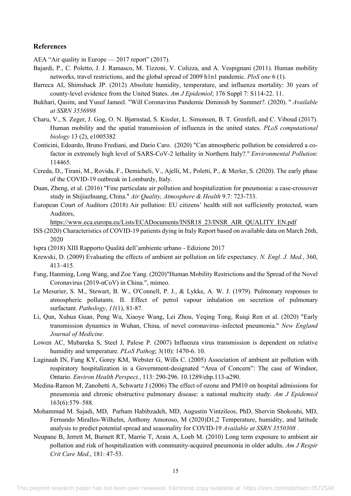#### **References**

AEA "Air quality in Europe — 2017 report" (2017).

- Bajardi, P., C. Poletto, J. J. Ramasco, M. Tizzoni, V. Colizza, and A. Vespignani (2011). Human mobility networks, travel restrictions, and the global spread of 2009 h1n1 pandemic. *PloS one* 6 (1).
- Barreca AI, Shimshack JP. (2012) Absolute humidity, temperature, and influenza mortality: 30 years of county-level evidence from the United States. *Am J Epidemiol*; 176 Suppl 7: S114-22. 11.
- Bukhari, Qasim, and Yusuf Jameel. "Will Coronavirus Pandemic Diminish by Summer?. (2020). " *Available at SSRN 3556998*
- Charu, V., S. Zeger, J. Gog, O. N. Bjørnstad, S. Kissler, L. Simonsen, B. T. Grenfell, and C. Viboud (2017). Human mobility and the spatial transmission of influenza in the united states. *PLoS computational biology* 13 (2), e1005382
- Conticini, Edoardo, Bruno Frediani, and Dario Caro. (2020) "Can atmospheric pollution be considered a cofactor in extremely high level of SARS-CoV-2 lethality in Northern Italy?." *Environmental Pollution*: 114465.
- Cereda, D., Tirani, M., Rovida, F., Demicheli, V., Ajelli, M., Poletti, P., & Merler, S. (2020). The early phase of the COVID-19 outbreak in Lombardy, Italy.
- Duan, Zheng, et al. (2016) "Fine particulate air pollution and hospitalization for pneumonia: a case-crossover study in Shijiazhuang, China." *Air Quality, Atmosphere & Health* 9.7: 723-733.
- European Court of Auditors (2018) Air pollution: EU citizens' health still not sufficiently protected, warn Auditors,

https://www.eca.europa.eu/Lists/ECADocuments/INSR18\_23/INSR\_AIR\_QUALITY\_EN.pdf

- ISS (2020) Characteristics of COVID-19 patients dying in Italy Report based on available data on March 26th, 2020
- Ispra (2018) XIII Rapporto Qualità dell'ambiente urbano Edizione 2017
- Krewski, D. (2009) Evaluating the effects of ambient air pollution on life expectancy. *N. Engl. J. Med.*, 360, 413–415.
- Fang, Hanming, Long Wang, and Zoe Yang. (2020)"Human Mobility Restrictions and the Spread of the Novel Coronavirus (2019-nCoV) in China.", mimeo.
- Le Mesurier, S. M., Stewart, B. W., O'Connell, P. J., & Lykke, A. W. J. (1979). Pulmonary responses to atmospheric pollutants. II. Effect of petrol vapour inhalation on secretion of pulmonary surfactant. *Pathology*, *11*(1), 81-87.
- Li, Qun, Xuhua Guan, Peng Wu, Xiaoye Wang, Lei Zhou, Yeqing Tong, Ruiqi Ren et al. (2020) "Early transmission dynamics in Wuhan, China, of novel coronavirus–infected pneumonia." *New England Journal of Medicine*.
- Lowen AC, Mubareka S, Steel J, Palese P. (2007) Influenza virus transmission is dependent on relative humidity and temperature. *PLoS Pathog*; 3(10): 1470-6. 10.
- Luginaah IN, Fung KY, Gorey KM, Webster G, Wills C. (2005) Association of ambient air pollution with respiratory hospitalization in a Government-designated "Area of Concern": The case of Windsor, Ontario. *Environ Health Perspect.*, 113: 290-296. 10.1289/ehp.113-a290.
- Medina-Ramon M, Zanobetti A, Schwartz J (2006) The effect of ozone and PM10 on hospital admissions for pneumonia and chronic obstructive pulmonary disease: a national multicity study. *Am J Epidemiol*  163(6):579–588.
- Mohammad M. Sajadi, MD, Parham Habibzadeh, MD, Augustin Vintzileos, PhD, Shervin Shokouhi, MD, Fernando Miralles-Wilhelm, Anthony Amoroso, M (2020)D1,2 Temperature, humidity, and latitude analysis to predict potential spread and seasonality for COVID-19 *Available at SSRN 3550308* .
- Neupane B, Jerrett M, Burnett RT, Marrie T, Arain A, Loeb M. (2010) Long term exposure to ambient air pollution and risk of hospitalization with community-acquired pneumonia in older adults. *Am J Respir Crit Care Med.*, 181: 47-53.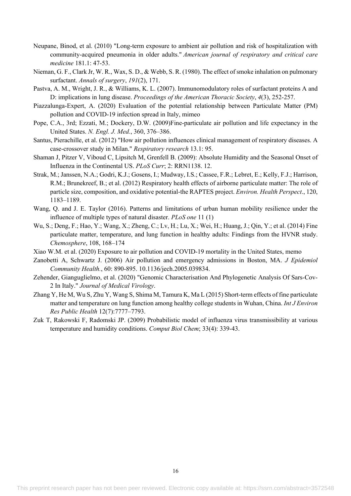- Neupane, Binod, et al. (2010) "Long-term exposure to ambient air pollution and risk of hospitalization with community-acquired pneumonia in older adults." *American journal of respiratory and critical care medicine* 181.1: 47-53.
- Nieman, G. F., Clark Jr, W. R., Wax, S. D., & Webb, S. R. (1980). The effect of smoke inhalation on pulmonary surfactant. *Annals of surgery*, *191*(2), 171.
- Pastva, A. M., Wright, J. R., & Williams, K. L. (2007). Immunomodulatory roles of surfactant proteins A and D: implications in lung disease. *Proceedings of the American Thoracic Society*, *4*(3), 252-257.
- Piazzalunga-Expert, A. (2020) Evaluation of the potential relationship between Particulate Matter (PM) pollution and COVID-19 infection spread in Italy, mimeo
- Pope, C.A., 3rd; Ezzati, M.; Dockery, D.W. (2009)Fine-particulate air pollution and life expectancy in the United States. *N. Engl. J. Med.*, 360, 376–386.
- Santus, Pierachille, et al. (2012) "How air pollution influences clinical management of respiratory diseases. A case-crossover study in Milan." *Respiratory research* 13.1: 95.
- Shaman J, Pitzer V, Viboud C, Lipsitch M, Grenfell B. (2009): Absolute Humidity and the Seasonal Onset of Influenza in the Continental US. *PLoS Curr*; 2: RRN1138. 12.
- Strak, M.; Janssen, N.A.; Godri, K.J.; Gosens, I.; Mudway, I.S.; Cassee, F.R.; Lebret, E.; Kelly, F.J.; Harrison, R.M.; Brunekreef, B.; et al. (2012) Respiratory health effects of airborne particulate matter: The role of particle size, composition, and oxidative potential-the RAPTES project. *Environ. Health Perspect*., 120, 1183–1189.
- Wang, Q. and J. E. Taylor (2016). Patterns and limitations of urban human mobility resilience under the influence of multiple types of natural disaster. *PLoS one* 11 (1)
- Wu, S.; Deng, F.; Hao, Y.; Wang, X.; Zheng, C.; Lv, H.; Lu, X.; Wei, H.; Huang, J.; Qin, Y.; et al. (2014) Fine particulate matter, temperature, and lung function in healthy adults: Findings from the HVNR study. *Chemosphere*, 108, 168–174
- Xiao W.M. et al. (2020) Exposure to air pollution and COVID-19 mortality in the United States, memo
- Zanobetti A, Schwartz J. (2006) Air pollution and emergency admissions in Boston, MA. *J Epidemiol Community Health.*, 60: 890-895. 10.1136/jech.2005.039834.
- Zehender, Gianguglielmo, et al. (2020) "Genomic Characterisation And Phylogenetic Analysis Of Sars-Cov-2 In Italy." *Journal of Medical Virology*.
- Zhang Y, He M, Wu S, Zhu Y, Wang S, Shima M, Tamura K, Ma L (2015) Short-term effects of fine particulate matter and temperature on lung function among healthy college students in Wuhan, China. *Int J Environ Res Public Health* 12(7):7777–7793.
- Zuk T, Rakowski F, Radomski JP. (2009) Probabilistic model of influenza virus transmissibility at various temperature and humidity conditions. *Comput Biol Chem*; 33(4): 339-43.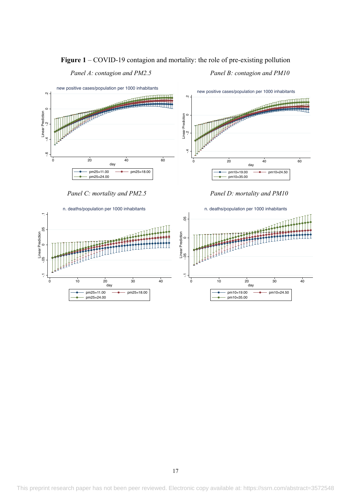# **Figure 1** – COVID-19 contagion and mortality: the role of pre-existing pollution

 *Panel A: contagion and PM2.5 Panel B: contagion and PM10*



 *Panel C: mortality and PM2.5 Panel D: mortality and PM10*

-.1 -.05 0 .05 .1 Linear Prediction

 $\overline{0}$ 

 $\overline{V}$ 

Linear Prediction

÷,

 $\overline{0}$ 

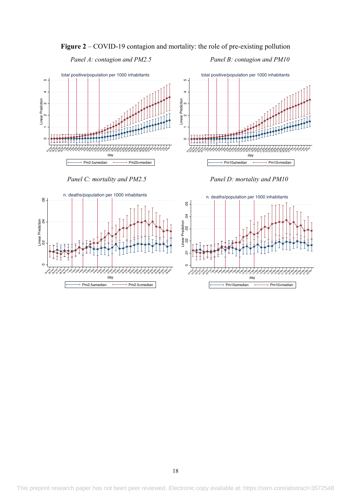**Figure 2** – COVID-19 contagion and mortality: the role of pre-existing pollution

 *Panel A: contagion and PM2.5 Panel B: contagion and PM10*





 *Panel C: mortality and PM2.5 Panel D: mortality and PM10*

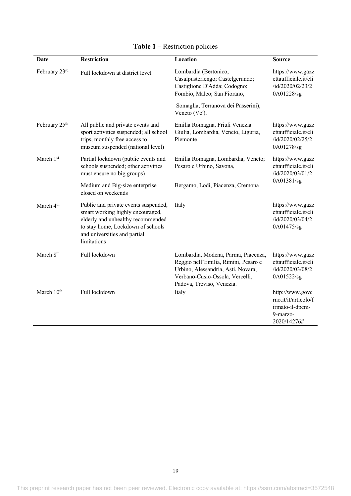| Date                                             | <b>Restriction</b>                                                                                                                                                                                | Location                                                                                                                                                                          | <b>Source</b>                                                                         |  |
|--------------------------------------------------|---------------------------------------------------------------------------------------------------------------------------------------------------------------------------------------------------|-----------------------------------------------------------------------------------------------------------------------------------------------------------------------------------|---------------------------------------------------------------------------------------|--|
| February 23rd<br>Full lockdown at district level |                                                                                                                                                                                                   | Lombardia (Bertonico,<br>Casalpusterlengo; Castelgerundo;<br>Castiglione D'Adda; Codogno;<br>Fombio, Maleo; San Fiorano,                                                          | https://www.gazz<br>ettaufficiale.it/eli<br>/id/2020/02/23/2<br>0A01228/sg            |  |
|                                                  |                                                                                                                                                                                                   | Somaglia, Terranova dei Passerini),<br>Veneto (Vo').                                                                                                                              |                                                                                       |  |
| February 25 <sup>th</sup>                        | All public and private events and<br>sport activities suspended; all school<br>trips, monthly free access to<br>museum suspended (national level)                                                 | Emilia Romagna, Friuli Venezia<br>Giulia, Lombardia, Veneto, Liguria,<br>Piemonte                                                                                                 | https://www.gazz<br>ettaufficiale.it/eli<br>/id/2020/02/25/2<br>0A01278/sg            |  |
| March 1st                                        | Partial lockdown (public events and<br>schools suspended; other activities<br>must ensure no big groups)                                                                                          | Emilia Romagna, Lombardia, Veneto;<br>Pesaro e Urbino, Savona,                                                                                                                    | https://www.gazz<br>ettaufficiale.it/eli<br>/id/2020/03/01/2                          |  |
|                                                  | Medium and Big-size enterprise<br>closed on weekends                                                                                                                                              | Bergamo, Lodi, Piacenza, Cremona                                                                                                                                                  | 0A01381/sg                                                                            |  |
| March 4 <sup>th</sup>                            | Public and private events suspended,<br>smart working highly encouraged,<br>elderly and unhealthy recommended<br>to stay home, Lockdown of schools<br>and universities and partial<br>limitations | Italy                                                                                                                                                                             | https://www.gazz<br>ettaufficiale.it/eli<br>/id/2020/03/04/2<br>0A01475/sg            |  |
| March 8 <sup>th</sup>                            | Full lockdown                                                                                                                                                                                     | Lombardia, Modena, Parma, Piacenza,<br>Reggio nell'Emilia, Rimini, Pesaro e<br>Urbino, Alessandria, Asti, Novara,<br>Verbano-Cusio-Ossola, Vercelli,<br>Padova, Treviso, Venezia. | https://www.gazz<br>ettaufficiale.it/eli<br>/id/2020/03/08/2<br>0A01522/sg            |  |
| March 10 <sup>th</sup>                           | Full lockdown                                                                                                                                                                                     | Italy                                                                                                                                                                             | http://www.gove<br>rno.it/it/articolo/f<br>irmato-il-dpcm-<br>9-marzo-<br>2020/14276# |  |

# **Table 1** – Restriction policies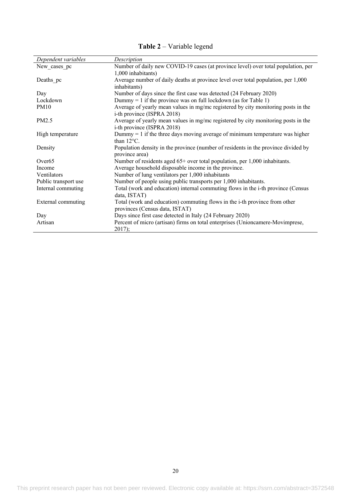| Dependent variables  | Description                                                                                                          |
|----------------------|----------------------------------------------------------------------------------------------------------------------|
| New_cases_pc         | Number of daily new COVID-19 cases (at province level) over total population, per<br>1,000 inhabitants)              |
| Deaths pc            | Average number of daily deaths at province level over total population, per 1,000<br>inhabitants)                    |
| Day                  | Number of days since the first case was detected (24 February 2020)                                                  |
| Lockdown             | Dummy = 1 if the province was on full lockdown (as for Table 1)                                                      |
| <b>PM10</b>          | Average of yearly mean values in mg/mc registered by city monitoring posts in the<br>i-th province (ISPRA 2018)      |
| PM2.5                | Average of yearly mean values in mg/mc registered by city monitoring posts in the<br>i-th province (ISPRA 2018)      |
| High temperature     | Dummy $= 1$ if the three days moving average of minimum temperature was higher<br>than $12^{\circ}$ C.               |
| Density              | Population density in the province (number of residents in the province divided by<br>province area)                 |
| Over <sub>65</sub>   | Number of residents aged $65+$ over total population, per 1,000 inhabitants.                                         |
| Income               | Average household disposable income in the province.                                                                 |
| Ventilators          | Number of lung ventilators per 1,000 inhabitants                                                                     |
| Public transport use | Number of people using public transports per 1,000 inhabitants.                                                      |
| Internal commuting   | Total (work and education) internal commuting flows in the i-th province (Census<br>data, ISTAT)                     |
| External commuting   | Total (work and education) commuting flows in the <i>i</i> -th province from other<br>provinces (Census data, ISTAT) |
| Day                  | Days since first case detected in Italy (24 February 2020)                                                           |
| Artisan              | Percent of micro (artisan) firms on total enterprises (Unioncamere-Movimprese,<br>2017);                             |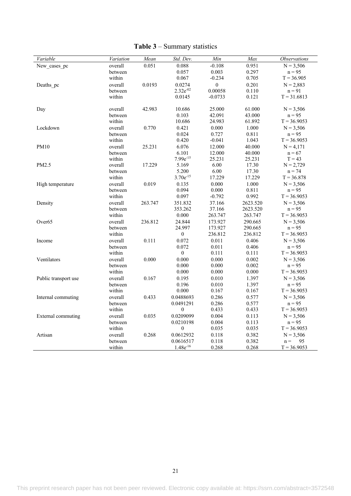| Variable             | Variation          | Mean    | Std. Dev.                 | Min              | Max            | <b>Observations</b>       |
|----------------------|--------------------|---------|---------------------------|------------------|----------------|---------------------------|
| New cases pc         | overall            | 0.051   | 0.088                     | $-0.108$         | 0.951          | $N = 3,506$               |
|                      | between            |         | 0.057                     | 0.003            | 0.297          | $n = 95$                  |
|                      | within             |         | 0.067                     | $-0.234$         | 0.705          | $T = 36.905$              |
| Deaths pc            | overall            | 0.0193  | 0.0274                    | $\boldsymbol{0}$ | 0.201          | $N = 2,883$               |
|                      | between            |         | $2.32e^{-02}$             | 0.00058          | 0.110          | $n = 91$                  |
|                      | within             |         | 0.0145                    | $-0.0733$        | 0.121          | $T = 31.6813$             |
| Day                  | overall            | 42.983  | 10.686                    | 25.000           | 61.000         | $N = 3,506$               |
|                      | between            |         | 0.103                     | 42.091           | 43.000         | $n = 95$                  |
|                      | within             |         | 10.686                    | 24.983           | 61.892         | $T = 36.9053$             |
| Lockdown             | overall            | 0.770   | 0.421                     | 0.000            | 1.000          | $N = 3,506$               |
|                      | between            |         | 0.024                     | 0.727            | 0.811          | $n = 95$                  |
|                      | within             |         | 0.420                     | $-0.041$         | 1.043          | $T = 36.9053$             |
| <b>PM10</b>          | overall            | 25.231  | 6.076                     | 12.000           | 40.000         | $N = 4,171$               |
|                      | between            |         | 6.101                     | 12.000           | 40.000         | $n = 67$                  |
|                      | within             |         | 7.99e <sup>-15</sup>      | 25.231           | 25.231         | $T = 43$                  |
| PM2.5                | overall            | 17.229  | 5.169                     | 6.00             | 17.30          | $N = 2,729$               |
|                      | between            |         | 5.200                     | 6.00             | 17.30          | $n = 74$                  |
|                      | within             |         | $3.70e^{-15}$             | 17.229           | 17.229         | $T = 36.878$              |
| High temperature     | overall            | 0.019   | 0.135                     | 0.000            | 1.000          | $N = 3,506$               |
|                      | between            |         | 0.094                     | 0.000            | 0.811          | $n = 95$                  |
|                      | within             |         | 0.097                     | $-0.792$         | 0.992          | $T = 36.9053$             |
| Density              | overall            | 263.747 | 351.832                   | 37.166           | 2623.520       | $N = 3,506$               |
|                      | between            |         | 353.262                   | 37.166           | 2623.520       | $n = 95$                  |
|                      | within             |         | 0.000                     | 263.747          | 263.747        | $T = 36.9053$             |
| Over <sub>65</sub>   | overall            | 236.812 | 24.844                    | 173.927          | 290.665        | $N = 3,506$               |
|                      | between            |         | 24.997                    | 173.927          | 290.665        | $n = 95$                  |
|                      | within             |         | $\boldsymbol{0}$          | 236.812          | 236.812        | $T = 36.9053$             |
| Income               | overall            | 0.111   | 0.072                     | 0.011            | 0.406          | $N = 3,506$               |
|                      | between            |         | 0.072<br>$\boldsymbol{0}$ | 0.011<br>0.111   | 0.406<br>0.111 | $n = 95$<br>$T = 36.9053$ |
|                      | within             | 0.000   | 0.000                     | 0.000            | 0.002          |                           |
| Ventilators          | overall<br>between |         | 0.000                     | 0.000            | 0.002          | $N = 3,506$<br>$n = 95$   |
|                      | within             |         | 0.000                     | 0.000            | 0.000          | $T = 36.9053$             |
| Public transport use | overall            | 0.167   | 0.195                     | 0.010            | 1.397          | $N = 3,506$               |
|                      | between            |         | 0.196                     | 0.010            | 1.397          | $n = 95$                  |
|                      | within             |         | 0.000                     | 0.167            | 0.167          | $T = 36.9053$             |
| Internal commuting   | overall            | 0.433   | 0.0488693                 | 0.286            | 0.577          | $N = 3,506$               |
|                      | between            |         | 0.0491291                 | 0.286            | 0.577          | $n = 95$                  |
|                      | within             |         | $\boldsymbol{0}$          | 0.433            | 0.433          | $T = 36.9053$             |
| External commuting   | overall            | 0.035   | 0.0209099                 | 0.004            | 0.113          | $N = 3,506$               |
|                      | between            |         | 0.0210198                 | 0.004            | 0.113          | $n = 95$                  |
|                      | within             |         | $\boldsymbol{0}$          | 0.035            | 0.035          | $T = 36.9053$             |
| Artisan              | overall            | 0.268   | 0.0612932                 | 0.118            | 0.382          | $N = 3,506$               |
|                      | between            |         | 0.0616517                 | 0.118            | 0.382          | 95<br>$n =$               |
|                      | within             |         | $1.48e^{-16}$             | 0.268            | 0.268          | $T = 36.9053$             |

# **Table 3** – Summary statistics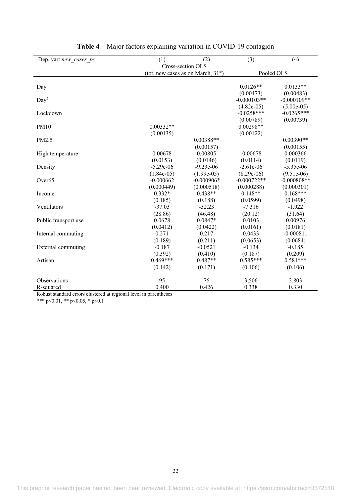| Dep. var: new cases pc | (1)               | (2)                                   | (3)           | (4)           |  |
|------------------------|-------------------|---------------------------------------|---------------|---------------|--|
|                        | Cross-section OLS |                                       |               |               |  |
|                        |                   | (tot. new cases as on March, $31st$ ) | Pooled OLS    |               |  |
|                        |                   |                                       |               |               |  |
| Day                    |                   |                                       | $0.0126**$    | $0.0133**$    |  |
|                        |                   |                                       | (0.00473)     | (0.00483)     |  |
| Day <sup>2</sup>       |                   |                                       | $-0.000103**$ | $-0.000109**$ |  |
|                        |                   |                                       | $(4.82e-05)$  | $(5.00e-05)$  |  |
| Lockdown               |                   |                                       | $-0.0258***$  | $-0.0265***$  |  |
|                        |                   |                                       | (0.00789)     | (0.00739)     |  |
| <b>PM10</b>            | $0.00332**$       |                                       | $0.00298**$   |               |  |
|                        | (0.00135)         |                                       | (0.00122)     |               |  |
| PM2.5                  |                   | $0.00388**$                           |               | $0.00390**$   |  |
|                        |                   | (0.00157)                             |               | (0.00155)     |  |
| High temperature       | 0.00678           | 0.00805                               | $-0.00678$    | 0.000366      |  |
|                        | (0.0153)          | (0.0146)                              | (0.0114)      | (0.0119)      |  |
| Density                | $-5.29e-06$       | $-9.23e-06$                           | $-2.61e-06$   | $-5.35e-06$   |  |
|                        | $(1.84e-05)$      | $(1.99e-05)$                          | $(8.29e-06)$  | $(9.51e-06)$  |  |
| Over <sub>65</sub>     | $-0.000662$       | $-0.000906*$                          | $-0.000722**$ | $-0.000808**$ |  |
|                        | (0.000449)        | (0.000518)                            | (0.000288)    | (0.000301)    |  |
| Income                 | $0.332*$          | $0.438**$                             | $0.148**$     | $0.168***$    |  |
|                        | (0.185)           | (0.188)                               | (0.0599)      | (0.0498)      |  |
| Ventilators            | $-37.03$          | $-32.23$                              | $-7.316$      | $-1.922$      |  |
|                        | (28.86)           | (46.48)                               | (20.12)       | (31.64)       |  |
| Public transport use   | 0.0678            | $0.0847*$                             | 0.0103        | 0.00976       |  |
|                        | (0.0412)          | (0.0422)                              | (0.0161)      | (0.0181)      |  |
| Internal commuting     | 0.271             | 0.217                                 | 0.0433        | $-0.000811$   |  |
|                        | (0.189)           | (0.211)                               | (0.0653)      | (0.0684)      |  |
| External commuting     | $-0.187$          | $-0.0521$                             | $-0.134$      | $-0.185$      |  |
|                        | (0.392)           | (0.410)                               | (0.187)       | (0.209)       |  |
| Artisan                | $0.469***$        | $0.487**$                             | $0.585***$    | $0.581***$    |  |
|                        | (0.142)           | (0.171)                               | (0.106)       | (0.106)       |  |
|                        |                   |                                       |               |               |  |
| Observations           | 95                | 76                                    | 3,506         | 2,803         |  |
| R-squared              | 0.400             | 0.426                                 | 0.338         | 0.330         |  |

# **Table 4** – Major factors explaining variation in COVID-19 contagion

Robust standard errors clustered at regional level in parentheses

\*\*\* p<0.01, \*\* p<0.05, \* p<0.1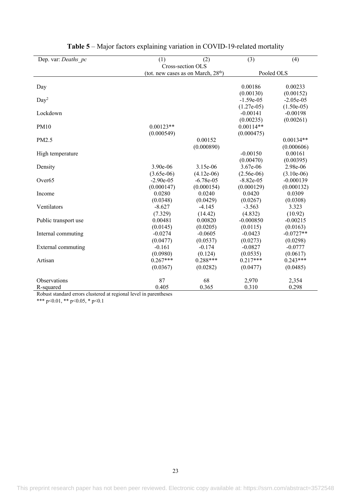| Dep. var: Deaths pc  | (1)                                                 | (2)          | (3)          | (4)          |  |
|----------------------|-----------------------------------------------------|--------------|--------------|--------------|--|
|                      | Cross-section OLS                                   |              |              |              |  |
|                      | Pooled OLS<br>(tot. new cases as on March, $28th$ ) |              |              |              |  |
| Day                  |                                                     |              | 0.00186      | 0.00233      |  |
|                      |                                                     |              | (0.00130)    | (0.00152)    |  |
| Day <sup>2</sup>     |                                                     |              | $-1.59e-05$  | $-2.05e-05$  |  |
|                      |                                                     |              | $(1.27e-05)$ | $(1.50e-05)$ |  |
| Lockdown             |                                                     |              | $-0.00141$   | $-0.00198$   |  |
|                      |                                                     |              | (0.00235)    | (0.00261)    |  |
| <b>PM10</b>          | $0.00123**$                                         |              | $0.00114**$  |              |  |
|                      | (0.000549)                                          |              | (0.000475)   |              |  |
| PM2.5                |                                                     | 0.00152      |              | $0.00134**$  |  |
|                      |                                                     | (0.000890)   |              | (0.000606)   |  |
| High temperature     |                                                     |              | $-0.00150$   | 0.00161      |  |
|                      |                                                     |              | (0.00470)    | (0.00395)    |  |
| Density              | 3.90e-06                                            | 3.15e-06     | 3.67e-06     | 2.98e-06     |  |
|                      | $(3.65e-06)$                                        | $(4.12e-06)$ | $(2.56e-06)$ | $(3.10e-06)$ |  |
| Over <sub>65</sub>   | $-2.90e-05$                                         | $-6.78e-05$  | $-8.82e-05$  | $-0.000139$  |  |
|                      | (0.000147)                                          | (0.000154)   | (0.000129)   | (0.000132)   |  |
| Income               | 0.0280                                              | 0.0240       | 0.0420       | 0.0309       |  |
|                      | (0.0348)                                            | (0.0429)     | (0.0267)     | (0.0308)     |  |
| Ventilators          | $-8.627$                                            | $-4.145$     | $-3.563$     | 3.323        |  |
|                      | (7.329)                                             | (14.42)      | (4.832)      | (10.92)      |  |
| Public transport use | 0.00481                                             | 0.00820      | $-0.000850$  | $-0.00215$   |  |
|                      | (0.0145)                                            | (0.0205)     | (0.0115)     | (0.0163)     |  |
| Internal commuting   | $-0.0274$                                           | $-0.0605$    | $-0.0423$    | $-0.0727**$  |  |
|                      | (0.0477)                                            | (0.0537)     | (0.0273)     | (0.0298)     |  |
| External commuting   | $-0.161$                                            | $-0.174$     | $-0.0827$    | $-0.0777$    |  |
|                      | (0.0980)                                            | (0.124)      | (0.0535)     | (0.0617)     |  |
| Artisan              | $0.267***$                                          | $0.288***$   | $0.217***$   | $0.243***$   |  |
|                      | (0.0367)                                            | (0.0282)     | (0.0477)     | (0.0485)     |  |
| Observations         | 87                                                  | 68           | 2,970        | 2,354        |  |
| R-squared            | 0.405                                               | 0.365        | 0.310        | 0.298        |  |

| Table 5 – Major factors explaining variation in COVID-19-related mortality |  |
|----------------------------------------------------------------------------|--|
|----------------------------------------------------------------------------|--|

Robust standard errors clustered at regional level in parentheses

\*\*\* p<0.01, \*\* p<0.05, \* p<0.1